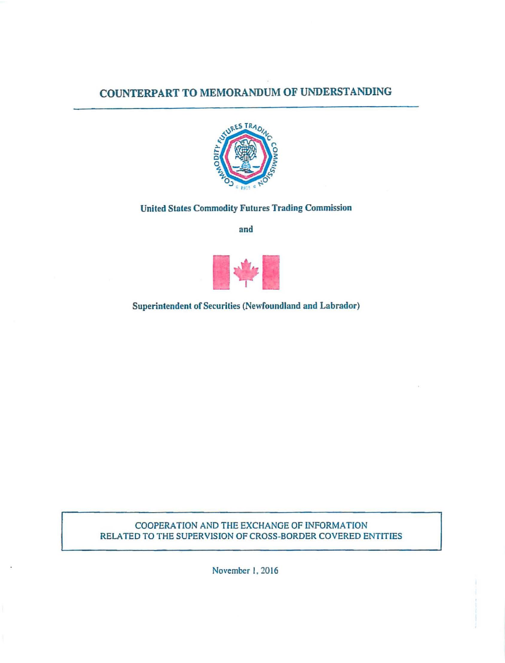## COUNTERPART TO MEMORANDUM OF UNDERSTANDING



## United States Commodity Futures Trading Commission

and



Superintendent of Securities (Newfoundland and Labrador)

COOPERATION AND THE EXCHANGE OF INFORMATION RELATED TO THE SUPERVISION OF CROSS-BORDER COVERED ENTITIES

November I, 2016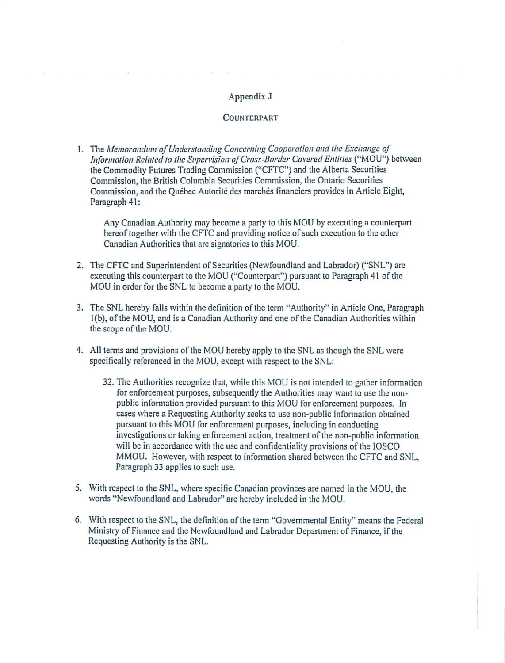## Appendix J

## COUNTERPART

1. The *Memorandum ofUnderstanding Concerning Cooperation and the Exchange of Information Related to the Supervision ofCross-Border Covered Entities* ("MOU") between the Commodity Futures Trading Commission ("CFTC") and the Alberta Securities Commission, the British Columbia Securities Commission, the Ontario Securities Commission, and the Québec Autorité des marchés financiers provides in Article Eight, Paragraph 41:

Any Canadian Authority may become a party to this MOU by executing a counterpart hereof together with the CFTC and providing notice of such execution to the other Canadian Authorities that arc signatories to this MOU.

- 2. The CFTC and Superintendent of Securities (Newfoundland and Labrador) ("SNL") are executing this counterpart to the MOU ("Counterpart") pursuant to Paragraph 41 of the MOU in order for the SNL to become a party to the MOU.
- 3. The SNL hereby falls within the definition of the term "Authority" in Article One, Paragraph l(b), of the MOU, and is a Canadian Authority and one of the Canadian Authorities within the scope of the MOU.
- 4. All terms and provisions of the MOU hereby apply to the SNL as though the SNL were specifically referenced in the MOU, except with respect to the SNL:
	- 32. The Authorities recognize that, while this MOU is not intended to gather information for enforcement purposes, subsequently the Authorities may want to use the nonpublic information provided pursuant to this MOU for enforcement purposes. In cases where a Requesting Authority seeks to use non-public information obtained pursuant to this MOU for enforcement purposes, including in conducting investigations or taking enforcement action, treatment of the non-public information will be in accordance with the use and confidentiality provisions of the IOSCO MMOU. However, with respect to information shared between the CFTC and SNL, Paragraph 33 applies to such use.
- 5. With respect to the SNL, where specific Canadian provinces are named in the MOU, the words "Newfoundland and Labrador" arc hereby included in the MOU.
- 6. With respect to the SNL, the definition of the term "Governmental Entity" means the Federal Ministry of Finance and the Newfoundland and Labrador Department of Finance, if the Requesting Authority is the SNL.